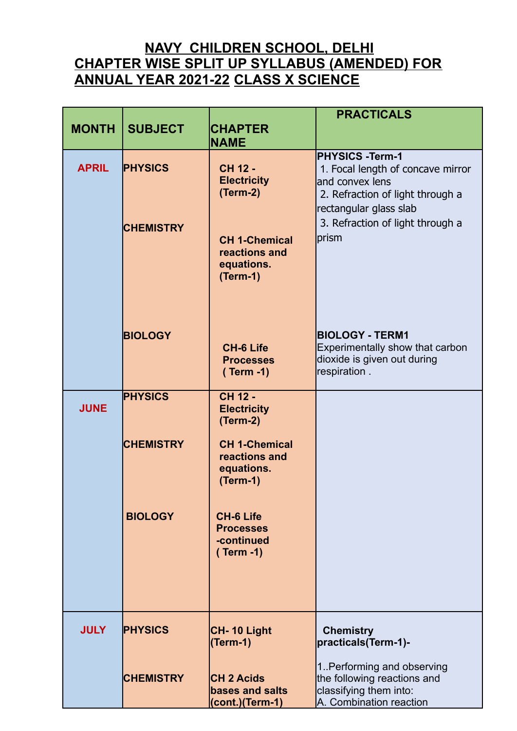## **NAVY CHILDREN SCHOOL, DELHI CHAPTER WISE SPLIT UP SYLLABUS (AMENDED) FOR ANNUAL YEAR 2021-22 CLASS X SCIENCE**

|              |                                    |                                                                   | <b>PRACTICALS</b>                                                                                                                                      |
|--------------|------------------------------------|-------------------------------------------------------------------|--------------------------------------------------------------------------------------------------------------------------------------------------------|
| <b>MONTH</b> | <b>SUBJECT</b>                     | <b>CHAPTER</b><br><b>NAME</b>                                     |                                                                                                                                                        |
|              |                                    |                                                                   | <b>PHYSICS -Term-1</b>                                                                                                                                 |
| <b>APRIL</b> | <b>PHYSICS</b><br><b>CHEMISTRY</b> | <b>CH 12 -</b><br><b>Electricity</b><br>(Term-2)                  | 1. Focal length of concave mirror<br>and convex lens<br>2. Refraction of light through a<br>rectangular glass slab<br>3. Refraction of light through a |
|              |                                    | <b>CH 1-Chemical</b><br>reactions and<br>equations.<br>$(Term-1)$ | prism                                                                                                                                                  |
|              | <b>BIOLOGY</b>                     | <b>CH-6 Life</b><br><b>Processes</b><br>$(Term -1)$               | <b>BIOLOGY - TERM1</b><br>Experimentally show that carbon<br>dioxide is given out during<br>respiration.                                               |
| <b>JUNE</b>  | <b>PHYSICS</b>                     | <b>CH 12 -</b><br><b>Electricity</b><br>$(Term-2)$                |                                                                                                                                                        |
|              | <b>CHEMISTRY</b>                   | <b>CH 1-Chemical</b><br>reactions and<br>equations.<br>$(Term-1)$ |                                                                                                                                                        |
|              | <b>BIOLOGY</b>                     | <b>CH-6 Life</b><br><b>Processes</b><br>-continued<br>$(Term -1)$ |                                                                                                                                                        |
| <b>JULY</b>  | <b>PHYSICS</b>                     | CH-10 Light<br>(Term-1)                                           | <b>Chemistry</b><br>practicals(Term-1)-                                                                                                                |
|              | <b>CHEMISTRY</b>                   | <b>CH 2 Acids</b><br>bases and salts<br>(cont.)(Term-1)           | 1. Performing and observing<br>the following reactions and<br>classifying them into:<br>A. Combination reaction                                        |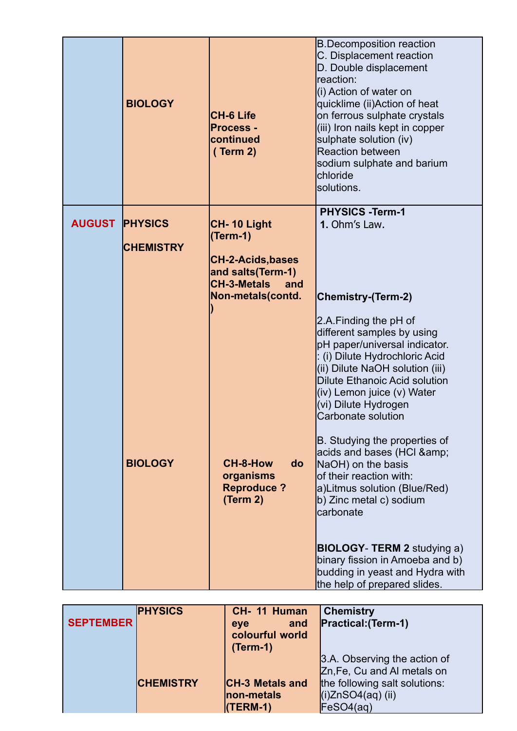|               | <b>BIOLOGY</b>                     | <b>CH-6 Life</b><br><b>Process -</b><br>continued<br>(Term 2)                                   | <b>B.Decomposition reaction</b><br>C. Displacement reaction<br>D. Double displacement<br>lreaction:<br>(i) Action of water on<br>quicklime (ii)Action of heat<br>on ferrous sulphate crystals<br>(iii) Iron nails kept in copper<br>sulphate solution (iv)<br><b>Reaction between</b><br>sodium sulphate and barium<br><b>Ichloride</b><br>solutions. |
|---------------|------------------------------------|-------------------------------------------------------------------------------------------------|-------------------------------------------------------------------------------------------------------------------------------------------------------------------------------------------------------------------------------------------------------------------------------------------------------------------------------------------------------|
| <b>AUGUST</b> | <b>PHYSICS</b><br><b>CHEMISTRY</b> | CH-10 Light<br>(Term-1)                                                                         | <b>PHYSICS -Term-1</b><br>1. Ohm's Law.                                                                                                                                                                                                                                                                                                               |
|               |                                    | <b>CH-2-Acids, bases</b><br>and salts(Term-1)<br><b>CH-3-Metals</b><br>and<br>Non-metals(contd. | <b>Chemistry-(Term-2)</b>                                                                                                                                                                                                                                                                                                                             |
|               |                                    |                                                                                                 | 2.A.Finding the pH of<br>different samples by using<br>pH paper/universal indicator.<br>: (i) Dilute Hydrochloric Acid<br>(ii) Dilute NaOH solution (iii)<br>Dilute Ethanoic Acid solution<br>(iv) Lemon juice (v) Water<br>(vi) Dilute Hydrogen<br>Carbonate solution                                                                                |
|               | <b>BIOLOGY</b>                     | CH-8-How<br>do<br>organisms<br><b>Reproduce?</b><br>(Term 2)                                    | B. Studying the properties of<br>acids and bases (HCI &<br>NaOH) on the basis<br>lof their reaction with:<br>a)Litmus solution (Blue/Red)<br>b) Zinc metal c) sodium<br>carbonate                                                                                                                                                                     |
|               |                                    |                                                                                                 | <b>BIOLOGY- TERM 2 studying a)</b><br>binary fission in Amoeba and b)<br>budding in yeast and Hydra with<br>the help of prepared slides.                                                                                                                                                                                                              |

| <b>SEPTEMBER</b> | <b>PHYSICS</b>   | CH- 11 Human<br>and<br>eve<br>colourful world<br>$(Term-1)$ | <b>Chemistry</b><br><b>Practical: (Term-1)</b>                                                                                   |
|------------------|------------------|-------------------------------------------------------------|----------------------------------------------------------------------------------------------------------------------------------|
|                  | <b>CHEMISTRY</b> | <b>CH-3 Metals and</b><br>non-metals<br>$(TERM-1)$          | 3.A. Observing the action of<br>Zn, Fe, Cu and AI metals on<br>the following salt solutions:<br>$(i)ZnSO4(aq)$ (ii)<br>FeSO4(ag) |